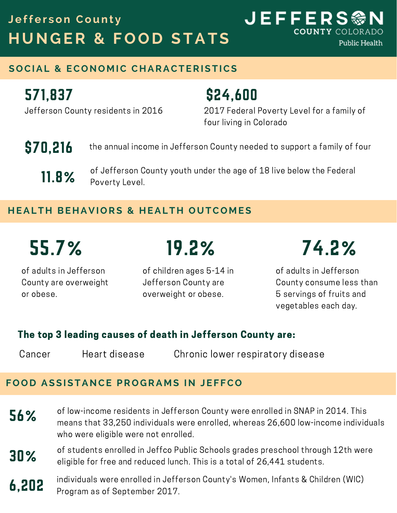## **H UNG ER & F O O D STATS Jeffer son Count y**

**COUNTY COLORADO Public Health** 

### **S O CIAL & EC ONO M IC C H ARACTERISTICS**

## 571,837

\$24,600

Jefferson County residents in 2016

### 2017 Federal Poverty Level for a family of four living in Colorado

**JEFFERS®** 

- the annual income in Jefferson County needed to support a family of four \$70,216
	- of Jefferson County youth under the age of 18 live below the Federal Poverty Level. 11.8%

### **H EALT H BE H AVI O RS & H EALT H OUTC O M ES**

of adults in Jefferson County are overweight or obese.

of children ages 5-14 in Jefferson County are 19.2%

overweight or obese.

# 55.7% 74.2%

of adults in Jefferson County consume less than 5 servings of fruits and vegetables each day.

### The top 3 leading causes of death in Jefferson County are:

Cancer Heart disease Chronic lower respiratory disease

### **F O O D ASSISTANCE PR O G RA M S IN JEF FC O**

- 56% of low-income residents in Jefferson County were enrolled in SNAP in 2014. This means that 33,250 individuals were enrolled, whereas 26,600 low-income individuals who were eligible were not enrolled.
- 30% of students enrolled in Jeffco Public Schools grades preschool through 12th were eligible for free and reduced lunch. This is a total of 26,441 students.
- 6,202 individuals were enrolled in Jefferson County's Women, Infants & Children (WIC) Program as of September 2017.